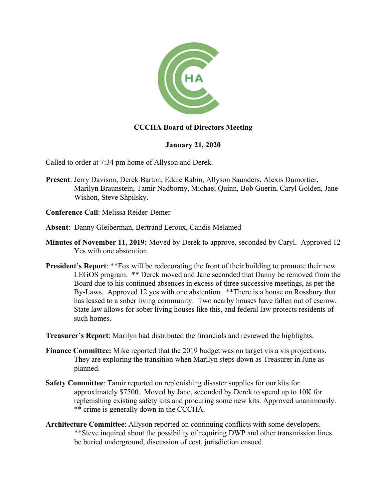

# **CCCHA Board of Directors Meeting**

## **January 21, 2020**

Called to order at 7:34 pm home of Allyson and Derek.

- **Present**: Jerry Davison, Derek Barton, Eddie Rabin, Allyson Saunders, Alexis Dumortier, Marilyn Braunstein, Tamir Nadborny, Michael Quinn, Bob Guerin, Caryl Golden, Jane Wishon, Steve Shpilsky.
- **Conference Call**: Melissa Reider-Demer
- **Absent**: Danny Gleiberman, Bertrand Leroux, Candis Melamed
- **Minutes of November 11, 2019:** Moved by Derek to approve, seconded by Caryl. Approved 12 Yes with one abstention.
- **President's Report:** \*\*Fox will be redecorating the front of their building to promote their new LEGOS program. \*\* Derek moved and Jane seconded that Danny be removed from the Board due to his continued absences in excess of three successive meetings, as per the By-Laws. Approved 12 yes with one abstention. \*\*There is a house on Rossbury that has leased to a sober living community. Two nearby houses have fallen out of escrow. State law allows for sober living houses like this, and federal law protects residents of such homes.

**Treasurer's Report**: Marilyn had distributed the financials and reviewed the highlights.

- **Finance Committee:** Mike reported that the 2019 budget was on target vis a vis projections. They are exploring the transition when Marilyn steps down as Treasurer in June as planned.
- **Safety Committee**: Tamir reported on replenishing disaster supplies for our kits for approximately \$7500. Moved by Jane, seconded by Derek to spend up to 10K for replenishing existing safety kits and procuring some new kits. Approved unanimously. \*\* crime is generally down in the CCCHA.
- **Architecture Committee**: Allyson reported on continuing conflicts with some developers. \*\*Steve inquired about the possibility of requiring DWP and other transmission lines be buried underground, discussion of cost, jurisdiction ensued.